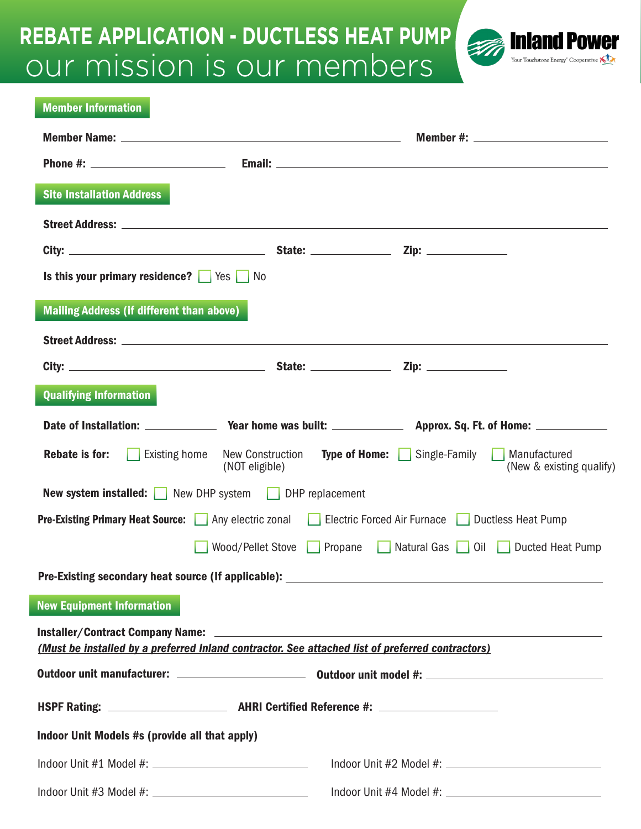## our mission is our members **REBATE APPLICATION - DUCTLESS HEAT PUMP**

l



| <b>Member Information</b>                                                                        |                                                             |                                                                                                                   |
|--------------------------------------------------------------------------------------------------|-------------------------------------------------------------|-------------------------------------------------------------------------------------------------------------------|
|                                                                                                  |                                                             |                                                                                                                   |
|                                                                                                  |                                                             |                                                                                                                   |
| <b>Site Installation Address</b>                                                                 |                                                             |                                                                                                                   |
|                                                                                                  |                                                             |                                                                                                                   |
|                                                                                                  |                                                             |                                                                                                                   |
| Is this your primary residence? $\Box$ Yes $\Box$ No                                             |                                                             |                                                                                                                   |
| Mailing Address (if different than above)                                                        |                                                             |                                                                                                                   |
|                                                                                                  |                                                             |                                                                                                                   |
|                                                                                                  |                                                             |                                                                                                                   |
| <b>Qualifying Information</b>                                                                    |                                                             |                                                                                                                   |
|                                                                                                  |                                                             |                                                                                                                   |
| <b>Rebate is for:</b>                                                                            | (NOT eligible)                                              | <b>Existing home</b> New Construction <b>Type of Home:</b> Single-Family Manufactured<br>(New & existing qualify) |
|                                                                                                  | <b>New system installed:</b> New DHP system DHP replacement |                                                                                                                   |
|                                                                                                  |                                                             | <b>Pre-Existing Primary Heat Source:</b> Any electric zonal Electric Forced Air Furnace Ductless Heat Pump        |
|                                                                                                  |                                                             | Wood/Pellet Stove Propane Natural Gas Oil Ducted Heat Pump                                                        |
|                                                                                                  |                                                             |                                                                                                                   |
| <b>New Equipment Information</b>                                                                 |                                                             |                                                                                                                   |
| (Must be installed by a preferred Inland contractor. See attached list of preferred contractors) |                                                             |                                                                                                                   |
|                                                                                                  |                                                             |                                                                                                                   |
|                                                                                                  |                                                             |                                                                                                                   |
| Indoor Unit Models #s (provide all that apply)                                                   |                                                             |                                                                                                                   |
|                                                                                                  |                                                             |                                                                                                                   |
|                                                                                                  |                                                             |                                                                                                                   |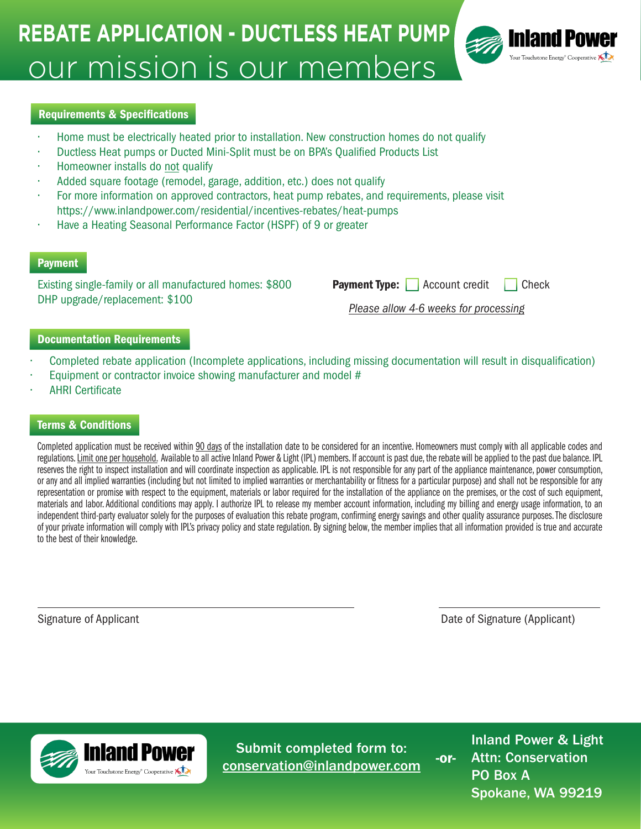# our mission is our members **REBATE APPLICATION - DUCTLESS HEAT PUMP**



#### Requirements & Specifications

- Home must be electrically heated prior to installation. New construction homes do not qualify
- Ductless Heat pumps or Ducted Mini-Split must be on BPA's Qualified Products List
- Homeowner installs do not qualify
- Added square footage (remodel, garage, addition, etc.) does not qualify
- For more information on approved contractors, heat pump rebates, and requirements, please visit https://www.inlandpower.com/residential/incentives-rebates/heat-pumps
- Have a Heating Seasonal Performance Factor (HSPF) of 9 or greater

#### **Payment**

Existing single-family or all manufactured homes: \$800 DHP upgrade/replacement: \$100

**Payment Type:** Account credit Check

*Please allow 4-6 weeks for processing*

#### Documentation Requirements

- Completed rebate application (Incomplete applications, including missing documentation will result in disqualification)
- Equipment or contractor invoice showing manufacturer and model #
- AHRI Certificate

#### Terms & Conditions

Completed application must be received within 90 days of the installation date to be considered for an incentive. Homeowners must comply with all applicable codes and regulations. Limit one per household. Available to all active Inland Power & Light (IPL) members. If account is past due, the rebate will be applied to the past due balance. IPL reserves the right to inspect installation and will coordinate inspection as applicable. IPL is not responsible for any part of the appliance maintenance, power consumption, or any and all implied warranties (including but not limited to implied warranties or merchantability or fitness for a particular purpose) and shall not be responsible for any representation or promise with respect to the equipment, materials or labor required for the installation of the appliance on the premises, or the cost of such equipment, materials and labor. Additional conditions may apply. I authorize IPL to release my member account information, including my billing and energy usage information, to an independent third-party evaluator solely for the purposes of evaluation this rebate program, confirming energy savings and other quality assurance purposes. The disclosure of your private information will comply with IPL's privacy policy and state regulation. By signing below, the member implies that all information provided is true and accurate to the best of their knowledge.

Signature of Applicant Date of Signature (Applicant)



Submit completed form to: conservation@inlandpower.com

Inland Power & Light Attn: Conservation PO Box A Spokane, WA 99219 -or-